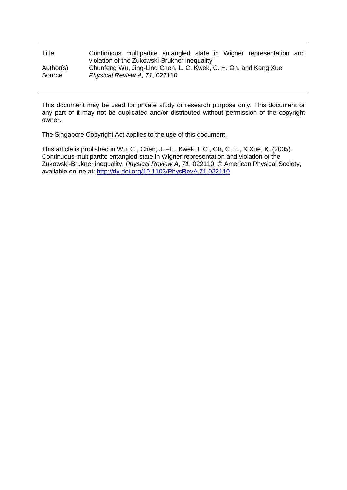| Title     | Continuous multipartite entangled state in Wigner representation and |  |  |  |  |  |  |
|-----------|----------------------------------------------------------------------|--|--|--|--|--|--|
|           | violation of the Zukowski-Brukner inequality                         |  |  |  |  |  |  |
| Author(s) | Chunfeng Wu, Jing-Ling Chen, L. C. Kwek, C. H. Oh, and Kang Xue      |  |  |  |  |  |  |
| Source    | Physical Review A, 71, 022110                                        |  |  |  |  |  |  |

This document may be used for private study or research purpose only. This document or any part of it may not be duplicated and/or distributed without permission of the copyright owner.

The Singapore Copyright Act applies to the use of this document.

This article is published in Wu, C., Chen, J. –L., Kwek, L.C., Oh, C. H., & Xue, K. (2005). Continuous multipartite entangled state in Wigner representation and violation of the Zukowski-Brukner inequality, *Physical Review A*, *71*, 022110. *©* American Physical Society, available online at: <http://dx.doi.org/10.1103/PhysRevA.71.022110>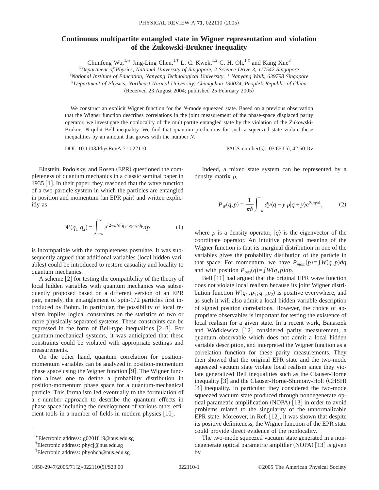## **Continuous multipartite entangled state in Wigner representation and violation of the Żukowski-Brukner inequality**

Chunfeng Wu,<sup>1,\*</sup> Jing-Ling Chen,<sup>1,†</sup> L. C. Kwek,<sup>1,2</sup> C. H. Oh,<sup>1,‡</sup> and Kang Xue<sup>3</sup>

1 *Department of Physics, National University of Singapore, 2 Science Drive 3, 117542 Singapore* 2 *National Institute of Education, Nanyang Technological University, 1 Nanyang Walk, 639798 Singapore*

3 *Department of Physics, Northeast Normal University, Changchun 130024, People's Republic of China*

 $(Received 23 August 2004; published 25 February 2005)$ 

We construct an explicit Wigner function for the *N*-mode squeezed state. Based on a previous observation that the Wigner function describes correlations in the joint measurement of the phase-space displaced parity operator, we investigate the nonlocality of the multipartite entangled state by the violation of the Żukowski-Brukner *N*-qubit Bell inequality. We find that quantum predictions for such a squeezed state violate these inequalities by an amount that grows with the number *N*.

DOI: 10.1103/PhysRevA.71.022110 PACS number(s): 03.65.Ud, 42.50.Dv

Einstein, Podolsky, and Rosen (EPR) questioned the completeness of quantum mechanics in a classic seminal paper in 1935 [1]. In their paper, they reasoned that the wave function of a two-particle system in which the particles are entangled in position and momentum (an EPR pair) and written explicitly as

$$
\Psi(q_1, q_2) = \int_{-\infty}^{\infty} e^{(2\pi i/h)(q_1 - q_2 + q_0)p} dp \tag{1}
$$

is incompatible with the completeness postulate. It was subsequently argued that additional variables (local hidden variables) could be introduced to restore casuality and locality to quantum mechanics.

A scheme  $\lceil 2 \rceil$  for testing the compatibility of the theory of local hidden variables with quantum mechanics was subsequently proposed based on a different version of an EPR pair, namely, the entanglement of spin-1/2 particles first introduced by Bohm. In particular, the possibility of local realism implies logical constraints on the statistics of two or more physically separated systems. These constraints can be expressed in the form of Bell-type inequalities  $[2-8]$ . For quantum-mechanical systems, it was anticipated that these constraints could be violated with appropriate settings and measurements.

On the other hand, quantum correlation for positionmomentum variables can be analyzed in position-momentum phase space using the Wigner function  $[9]$ . The Wigner function allows one to define a probability distribution in position-momentum phase space for a quantum-mechanical particle. This formalism led eventually to the formulation of a *c*-number approach to describe the quantum effects in phase space including the development of various other efficient tools in a number of fields in modern physics  $[10]$ .

Indeed, a mixed state system can be represented by a density matrix  $\rho$ ,

$$
P_W(q,p) = \frac{1}{\pi \hbar} \int_{-\infty}^{\infty} dy \langle q - y | \rho | q + y \rangle e^{2ipy/\hbar}, \tag{2}
$$

where  $\rho$  is a density operator,  $|q\rangle$  is the eigenvector of the coordinate operator. An intuitive physical meaning of the Wigner function is that its marginal distribution in one of the variables gives the probability distibution of the particle in that space. For momentum, we have  $P_{mom}(p) = \int W(q, p) dq$ and with position  $P_{pos}(q) = \int W(q, p) dp$ .

Bell  $\lceil 11 \rceil$  had argued that the original EPR wave function does not violate local realism because its joint Wigner distribution function  $W(q_1, p_1; q_2, p_2)$  is positive everywhere, and as such it will also admit a local hidden variable description of signed position correlations. However, the choice of appropriate observables is important for testing the existence of local realism for a given state. In a recent work, Banaszek and Wódkiewicz [12] considered parity measurement, a quantum observable which does not admit a local hidden variable description, and interpreted the Wigner function as a correlation function for these parity measurements. They then showed that the original EPR state and the two-mode squeezed vacuum state violate local realism since they violate generalized Bell inequalities such as the Clauser-Horne inequality [3] and the Clauser-Horne-Shimony-Holt (CHSH) [4] inequality. In particular, they considered the two-mode squeezed vacuum state produced through nondegenerate optical parametric amplification (NOPA)  $\lceil 13 \rceil$  in order to avoid problems related to the singularity of the unnormalizable EPR state. Moreover, in Ref.  $[12]$ , it was shown that despite its positive definiteness, the Wigner function of the EPR state could provide direct evidence of the nonlocality.

The two-mode squeezed vacuum state generated in a nondegenerate optical parametric amplifier  $(NOPA)$  [13] is given by

<sup>\*</sup>Electronic address: g0201819@nus.edu.sg

<sup>†</sup> Electronic address: phycj@nus.edu.sg

<sup>‡</sup> Electronic address: phyohch@nus.edu.sg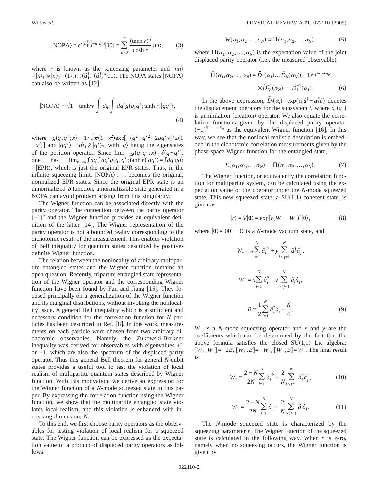$$
|\text{NOPA}\rangle = e^{r(\hat{a}_1^{\dagger}\hat{a}_2^{\dagger} - \hat{a}_1\hat{a}_2)}|00\rangle = \sum_{n=0}^{\infty} \frac{(\tanh r)^n}{\cosh r}|nn\rangle, \tag{3}
$$

where *r* is known as the squeezing parameter and  $|nn\rangle$  $=$  $|n\rangle_1 \otimes |n\rangle_2 = (1/n!)(\hat{a}_1^{\dagger})^n(\hat{a}_2^{\dagger})^n|00\rangle$ . The NOPA states |NOPA $\rangle$ can also be written as  $\lceil 12 \rceil$ 

$$
|\text{NOPA}\rangle = \sqrt{1 - \tanh^2 r} \int dq \int dq' g(q, q'; \tanh r) |qq'\rangle,
$$
\n(4)

where  $g(q, q'; x) \equiv 1/\sqrt{\pi(1-x^2)} \exp[-(q^2+q'^2-2qq'x)/2]$  $(-x^2)$ ] and  $|qq'\rangle \equiv |q\rangle_1 \otimes |q'\rangle_2$ , with  $|q\rangle$  being the eigenstates of the position operator. Since  $\lim_{x\to 1} g(q, q'; x) = \delta(q-q'),$ <br>one has  $\lim_{x\to\infty} \int dq \int dq' g(q, q'; \tanh r) |qq'| = \int dq |qq\rangle$  $\lim_{r\to\infty}$  ∫ *dq* ∫ *dq*' g(*q*, *q*';tanh *r*)|*qq*'  $\rangle$ = ∫ *dq*|*qq*  $=$  EPR), which is just the original EPR states. Thus, in the infinite squeezing limit,  $\left|\text{NOPA}\right|\right|_{r\to\infty}$  becomes the original, normalized EPR states. Since the original EPR state is an unnormalized  $\delta$  function, a normalizable state generated in a NOPA can avoid problem arising from this singularity.

The Wigner function can be associated directly with the parity operator. The connection between the parity operator  $\left( -1\right)$ <sup> $\hat{n}$ </sup> and the Wigner function provides an equivalent definition of the latter  $[14]$ . The Wigner representation of the parity operator is not a bounded reality corresponding to the dichotomic result of the measurement. This enables violation of Bell inequality for quantum states described by positivedefinite Wigner function.

The relation between the nonlocality of arbitrary multipartite entangled states and the Wigner function remains an open question. Recently, tripartite entangled state representation of the Wigner operator and the corresponding Wigner function have been found by Fan and Jiang  $[15]$ . They focused principally on a generalization of the Wigner function and its marginal distributions, without invoking the nonlocality issue. A general Bell inequality which is a sufficient and necessary condition for the correlation function for *N* particles has been described in Ref.  $[8]$ . In this work, measurements on each particle were chosen from two arbitrary dichotomic observables. Namely, the Zukowski-Brukner inequality was derived for observables with eigenvalues +1 or −1, which are also the spectrum of the displaced parity operator. Thus this general Bell theorem for general *N*-qubit states provides a useful tool to test the violation of local realism of multipartite quantum states described by Wigner function. With this motivation, we derive an expression for the Wigner function of a *N*-mode squeezed state in this paper. By expressing the correlation function using the Wigner function, we show that the multipartite entangled state violates local realism, and this violation is enhanced with increasing dimension, *N*.

To this end, we first choose parity operators as the observables for testing violation of local realism for a squeezed state. The Wigner function can be expressed as the expectation value of a product of displaced parity operators as follows:

$$
W(\alpha_1, \alpha_2, \dots, \alpha_N) \propto \Pi(\alpha_1, \alpha_2, \dots, \alpha_N), \tag{5}
$$

where  $\Pi(\alpha_1, \alpha_2, ..., \alpha_N)$  is the expectation value of the joint displaced parity operator (i.e., the measured observable)

$$
\hat{\Pi}(\alpha_1, \alpha_2, \dots, \alpha_N) = \hat{D}_1(\alpha_1) \dots \hat{D}_N(\alpha_N) (-1)^{\hat{n}_1 + \dots + \hat{n}_N}
$$
  
 
$$
\times \hat{D}_N^{-1}(\alpha_N) \dots \hat{D}_1^{-1}(\alpha_1). \tag{6}
$$

In the above expression,  $\hat{D}_i(\alpha_i) = \exp(\alpha_i \hat{a}^\dagger - \alpha_i^* \hat{a})$  denotes the displacement operators for the subsystem *i*, where  $\hat{a}$   $(\hat{a}^{\dagger})$ is annihilation (creation) operator. We also equate the correlation functions given by the displaced parity operator  $(-1)^{\hat{n}_1+\cdots+\hat{n}_N}$  as the equivalent Wigner function [16]. In this way, we see that the nonlocal realistic description is embedded in the dichotomic correlation measurements given by the phase-space Wigner function for the entangled state,

$$
E(\alpha_1, \alpha_2, \dots, \alpha_N) \equiv \Pi(\alpha_1, \alpha_2, \dots, \alpha_N). \tag{7}
$$

The Wigner function, or equivalently the correlation function for multipartite system, can be calculated using the expectation value of the operator under the *N*-mode squeezed state. This new squeezed state, a  $SU(1,1)$  coherent state, is given as

$$
|r\rangle = V|\mathbf{0}\rangle = \exp[r(W_{+} - W_{-})]|0\rangle, \qquad (8)
$$

where  $|0\rangle=|00\cdots0\rangle$  is a *N*-mode vacuum state, and

$$
W_{+} = x \sum_{i=1}^{N} \hat{a}_{i}^{\dagger 2} + y \sum_{i < j=1}^{N} \hat{a}_{i}^{\dagger} \hat{a}_{j}^{\dagger},
$$
\n
$$
W_{-} = x \sum_{i=1}^{N} \hat{a}_{i}^{2} + y \sum_{i < j=1}^{N} \hat{a}_{i} \hat{a}_{j},
$$
\n
$$
B = \frac{1}{2} \sum_{i=1}^{N} \hat{a}_{i}^{\dagger} \hat{a}_{i} + \frac{N}{4}.
$$
\n(9)

 $W_{+}$  is a *N*-mode squeezing operator and *x* and *y* are the coefficients which can be determined by the fact that the above formula satisfies the closed  $SU(1,1)$  Lie algebra:  $[W_+, W_-] = -2B$ ,  $[W_+, B] = -W_+$ ,  $[W_-, B] = W_-$ . The final result is

$$
W_{+} = \frac{2 - N}{2N} \sum_{i=1}^{N} \hat{a}_{i}^{\dagger 2} + \frac{2}{N} \sum_{i < j=1}^{N} \hat{a}_{i}^{\dagger} \hat{a}_{j}^{\dagger},\tag{10}
$$

$$
W_{-} = \frac{2 - N}{2N} \sum_{i=1}^{N} \hat{a}_i^2 + \frac{2}{N} \sum_{i < j = 1}^{N} \hat{a}_i \hat{a}_j. \tag{11}
$$

The *N*-mode squeezed state is characterized by the squeezing parameter *r*. The Wigner function of the squeezed state is calculated in the following way. When *r* is zero, namely when no squeezing occurs, the Wigner function is given by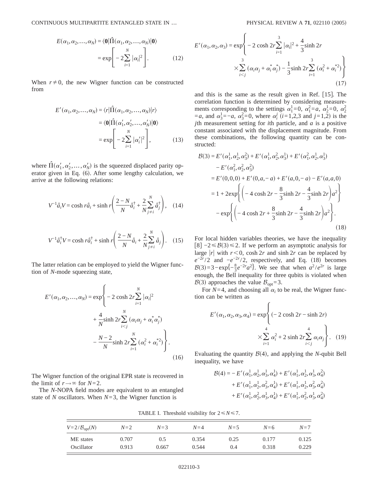$$
E(\alpha_1, \alpha_2, ..., \alpha_N) = \langle \mathbf{0} | \hat{\Pi}(\alpha_1, \alpha_2, ..., \alpha_N) | \mathbf{0} \rangle
$$
  
= 
$$
\exp \left[ -2 \sum_{i=1}^N |\alpha_i|^2 \right].
$$
 (12)

When  $r \neq 0$ , the new Wigner function can be constructed from

$$
E'(\alpha_1, \alpha_2, ..., \alpha_N) = \langle r | \hat{\Pi}(\alpha_1, \alpha_2, ..., \alpha_N) | r \rangle
$$
  
= \langle \mathbf{0} | \hat{\Pi}(\alpha'\_1, \alpha'\_2, ..., \alpha'\_N) | \mathbf{0} \rangle  
= \exp \left[ -2 \sum\_{i=1}^N |\alpha'\_i|^2 \right], \qquad (13)

where  $\hat{\Pi}(\alpha'_1, \alpha'_2, \dots, \alpha'_N)$  is the squeezed displaced parity operator given in Eq.  $(6)$ . After some lengthy calculation, we arrive at the following relations:

$$
V^{-1}\hat{a}_i V = \cosh r \hat{a}_i + \sinh r \left( \frac{2 - N}{N} \hat{a}_i^{\dagger} + \frac{2}{N} \sum_{j \neq i}^{N} \hat{a}_j^{\dagger} \right), \quad (14)
$$

$$
V^{-1}\hat{a}_i^{\dagger}V = \cosh r \hat{a}_i^{\dagger} + \sinh r \left( \frac{2 - N}{N} \hat{a}_i + \frac{2}{N} \sum_{j \neq i}^{N} \hat{a}_j \right). \quad (15)
$$

The latter relation can be employed to yield the Wigner function of *N*-mode squeezing state,

$$
E'(\alpha_1, \alpha_2, ..., \alpha_N) = \exp\left\{-2\cosh 2r \sum_{i=1}^N |\alpha_i|^2 + \frac{4}{N}\sinh 2r \sum_{i < j}^N (\alpha_i \alpha_j + \alpha_i^* \alpha_j^*) - \frac{N-2}{N}\sinh 2r \sum_{i=1}^N (\alpha_i^2 + \alpha_i^*^2)\right\}.
$$
\n
$$
(16)
$$

The Wigner function of the original EPR state is recovered in the limit of  $r \rightarrow \infty$  for  $N=2$ .

The *N*-NOPA field modes are equivalent to an entangled state of *N* oscillators. When *N*=3, the Wigner function is

$$
E'(\alpha_1, \alpha_2, \alpha_3) = \exp\left\{-2 \cosh 2r \sum_{i=1}^3 |\alpha_i|^2 + \frac{4}{3} \sinh 2r \times \sum_{i < j}^3 (\alpha_i \alpha_j + \alpha_i^* \alpha_j^*) - \frac{1}{3} \sinh 2r \sum_{i=1}^3 (\alpha_i^2 + \alpha_i^{*2}) \right\}
$$
(17)

and this is the same as the result given in Ref.  $[15]$ . The correlation function is determined by considering measurements corresponding to the settings  $\alpha_1^1 = 0$ ,  $\alpha_1^2 = a$ ,  $\alpha_2^1 = 0$ ,  $\alpha_2^2$  $=a$ , and  $\alpha_3^1 = -a$ ,  $\alpha_3^2 = 0$ , where  $\alpha_i^j$  (*i*=1,2,3 and *j*=1,2) is the *j*th measurement setting for *i*th particle, and *a* is a positive constant associated with the displacement magnitude. From these combinations, the following quantity can be constructed:

$$
\mathcal{B}(3) = E'(\alpha_1^1, \alpha_2^1, \alpha_3^2) + E'(\alpha_1^1, \alpha_2^2, \alpha_3^1) + E'(\alpha_1^2, \alpha_2^1, \alpha_3^1)
$$
  
\n
$$
- E'(\alpha_1^2, \alpha_2^2, \alpha_3^2)
$$
  
\n
$$
= E'(0,0,0) + E'(0,a,-a) + E'(a,0,-a) - E'(a,a,0)
$$
  
\n
$$
= 1 + 2 \exp\left\{ \left( -4 \cosh 2r - \frac{8}{3} \sinh 2r - \frac{4}{3} \sinh 2r \right) a^2 \right\}
$$
  
\n
$$
- \exp\left\{ \left( -4 \cosh 2r + \frac{8}{3} \sinh 2r - \frac{4}{3} \sinh 2r \right) a^2 \right\}.
$$
  
\n(18)

For local hidden variables theories, we have the inequality [8]  $-2 \leq B(3) \leq 2$ . If we perform an asymptotic analysis for large |*r*| with  $r < 0$ , cosh 2*r* and sinh 2*r* can be replaced by  $e^{-2r/2}$  and  $-e^{-2r/2}$ , respectively, and Eq. (18) becomes  $B(3)=3-\exp\{-\frac{8}{3}e^{-2r}a^2\}$ . We see that when  $a^2/e^{2r}$  is large enough, the Bell inequality for three qubits is violated when  $\mathcal{B}(3)$  approaches the value  $\mathcal{B}_{opt} = 3$ .

For  $N=4$ , and choosing all  $\alpha_i$  to be real, the Wigner function can be written as

$$
E'(\alpha_1, \alpha_2, \alpha_3, \alpha_4) = \exp\left\{ (-2 \cosh 2r - \sinh 2r) + \sum_{i=1}^4 \alpha_i^2 + 2 \sinh 2r \sum_{i < j}^4 \alpha_i \alpha_j \right\}. \quad (19)
$$

Evaluating the quantity  $\mathcal{B}(4)$ , and applying the *N*-qubit Bell inequality, we have

$$
\mathcal{B}(4) = - E'(\alpha_1^1, \alpha_2^1, \alpha_3^1, \alpha_4^1) + E'(\alpha_1^1, \alpha_2^1, \alpha_3^1, \alpha_4^2) + E'(\alpha_1^1, \alpha_2^1, \alpha_3^2, \alpha_4^1) + E'(\alpha_1^1, \alpha_2^1, \alpha_3^2, \alpha_4^2) + E'(\alpha_1^1, \alpha_2^2, \alpha_3^1, \alpha_4^1) + E'(\alpha_1^1, \alpha_2^2, \alpha_3^1, \alpha_4^2)
$$

TABLE I. Threshold visibility for  $2 \le N \le 7$ .

| $V = 2/B_{\text{opt}}(N)$ | $N=2$ | $N=3$ | $N=4$ | $N=5$ | $N = 6$ | $N=7$ |
|---------------------------|-------|-------|-------|-------|---------|-------|
| ME states                 | 0.707 | 0.5   | 0.354 | 0.25  | 0.177   | 0.125 |
| Oscillator                | 0.913 | 0.667 | 0.544 | 0.4   | 0.318   | 0.229 |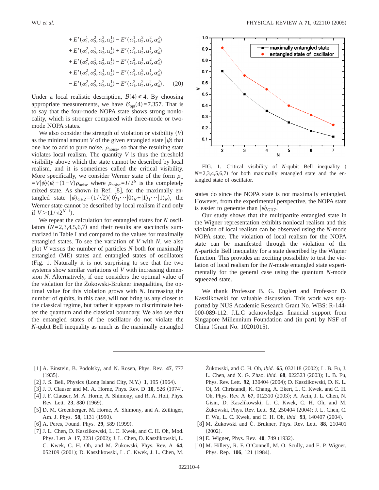+ E' 
$$
(\alpha_1^1, \alpha_2^2, \alpha_3^2, \alpha_4^1) - E' (\alpha_1^1, \alpha_2^2, \alpha_3^2, \alpha_4^2)
$$
  
+ E'  $(\alpha_1^2, \alpha_2^1, \alpha_3^1, \alpha_4^1) + E' (\alpha_1^2, \alpha_2^1, \alpha_3^1, \alpha_4^2)$   
+ E'  $(\alpha_1^2, \alpha_2^1, \alpha_3^2, \alpha_4^1) - E' (\alpha_1^2, \alpha_2^1, \alpha_3^2, \alpha_4^2)$   
+ E'  $(\alpha_1^2, \alpha_2^2, \alpha_3^1, \alpha_4^1) - E' (\alpha_1^2, \alpha_2^2, \alpha_3^1, \alpha_4^2)$   
- E'  $(\alpha_1^2, \alpha_2^2, \alpha_3^2, \alpha_4^1) - E' (\alpha_1^2, \alpha_2^2, \alpha_3^2, \alpha_4^2)$ . (20)

Under a local realistic description,  $\mathcal{B}(4) \leq 4$ . By choosing appropriate measurements, we have  $\mathcal{B}_{opt}(4)=7.357$ . That is to say that the four-mode NOPA state shows strong nonlocality, which is stronger compared with three-mode or twomode NOPA states.

We also consider the strength of violation or visibility  $(V)$ as the minimal amount *V* of the given entangled state  $|\psi\rangle$  that one has to add to pure noise,  $\rho_{noise}$ , so that the resulting state violates local realism. The quantity *V* is thus the threshold visibility above which the state cannot be described by local realism, and it is sometimes called the critical visibility. More specifically, we consider Werner state of the form  $\rho_w$  $=V|\psi\rangle\langle\psi|+(1-V)\rho_{\text{noise}}$  where  $\rho_{\text{noise}}=I/2^N$  is the completely mixed state. As shown in Ref. [8], for the maximally entangled state  $|\psi\rangle_{GHZ} = (1/\sqrt{2})(|0\rangle_1\cdots|0\rangle_N+|1\rangle_1\cdots|1\rangle_N)$ , the Werner state cannot be described by local realism if and only if  $V > (1/\sqrt{2^{N-1}})$ .

We repeat the calculation for entangled states for *N* oscillators  $(N=2,3,4,5,6,7)$  and their results are succinctly summarized in Table I and compared to the values for maximally entangled states. To see the variation of *V* with *N*, we also plot *V* versus the number of particles *N* both for maximally entangled (ME) states and entangled states of oscillators  $Fig. 1.$  Naturally it is not surprising to see that the two systems show similar variations of *V* with increasing dimension *N*. Alternatively, if one considers the optimal value of the violation for the Żokowski-Brukner inequalities, the optimal value for this violation grows with *N*. Increasing the number of qubits, in this case, will not bring us any closer to the classical regime, but rather it appears to discriminate better the quantum and the classical boundary. We also see that the entangled states of the oscillator do not violate the *N*-qubit Bell inequality as much as the maximally entangled



FIG. 1. Critical visibility of *N*-qubit Bell inequality  $N=2,3,4,5,6,7$  for both maximally entangled state and the entangled state of oscillator.

states do since the NOPA state is not maximally entangled. However, from the experimental perspective, the NOPA state is easier to generate than  $|\psi\rangle_{GHZ}$ .

Our study shows that the multipartite entangled state in the Wigner representation exhibits nonlocal realism and this violation of local realism can be observed using the *N*-mode NOPA state. The violation of local realism for the NOPA state can be manifested through the violation of the *N*-particle Bell inequality for a state described by the Wigner function. This provides an exciting possibility to test the violation of local realism for the *N*-mode entangled state experimentally for the general case using the quantum *N*-mode squeezed state.

We thank Professor B. G. Englert and Professor D. Kaszlikowski for valuable discussion. This work was supported by NUS Academic Research Grant No. WBS: R-144- 000-089-112. J.L.C acknowledges financial support from Singapore Millennium Foundation and (in part) by NSF of China (Grant No. 10201015).

- f1g A. Einstein, B. Podolsky, and N. Rosen, Phys. Rev. **47**, 777  $(1935).$
- [2] J. S. Bell, Physics (Long Island City, N.Y.)  $1, 195$  (1964).
- [3] J. F. Clauser and M. A. Horne, Phys. Rev. D 10, 526 (1974).
- [4] J. F. Clauser, M. A. Horne, A. Shimony, and R. A. Holt, Phys. Rev. Lett. **23**, 880 (1969).
- [5] D. M. Greenberger, M. Horne, A. Shimony, and A. Zeilinger, Am. J. Phys. 58, 1131 (1990).
- $[6]$  A. Peres, Found. Phys. **29**, 589 (1999).
- [7] J. L. Chen, D. Kaszlikowski, L. C. Kwek, and C. H. Oh, Mod. Phys. Lett. A 17, 2231 (2002); J. L. Chen, D. Kaszlikowski, L. C. Kwek, C. H. Oh, and M. Żukowski, Phys. Rev. A **64**, 052109 (2001); D. Kaszlikowski, L. C. Kwek, J. L. Chen, M.

Żukowski, and C. H. Oh, *ibid.* **65**, 032118 (2002); L. B. Fu, J. L. Chen, and X. G. Zhao, *ibid.* **68**, 022323 (2003); L. B. Fu, Phys. Rev. Lett. 92, 130404 (2004); D. Kaszlikowski, D. K. L. Oi, M. Christandl, K. Chang, A. Ekert, L. C. Kwek, and C. H. Oh, Phys. Rev. A **67**, 012310 (2003); A. Acín, J. L. Chen, N. Gisin, D. Kaszlikowski, L. C. Kwek, C. H. Oh, and M. Żukowski, Phys. Rev. Lett. **92**, 250404 (2004); J. L. Chen, C. F. Wu, L. C. Kwek, and C. H. Oh, *ibid.* **93**, 140407 (2004).

- f8g M. Żukowski and Č. Brukner, Phys. Rev. Lett. **88**, 210401  $(2002).$
- [9] E. Wigner, Phys. Rev. **40**, 749 (1932).
- [10] M. Hillery, R. F. O'Connell, M. O. Scully, and E. P. Wigner, Phys. Rep. 106, 121 (1984).